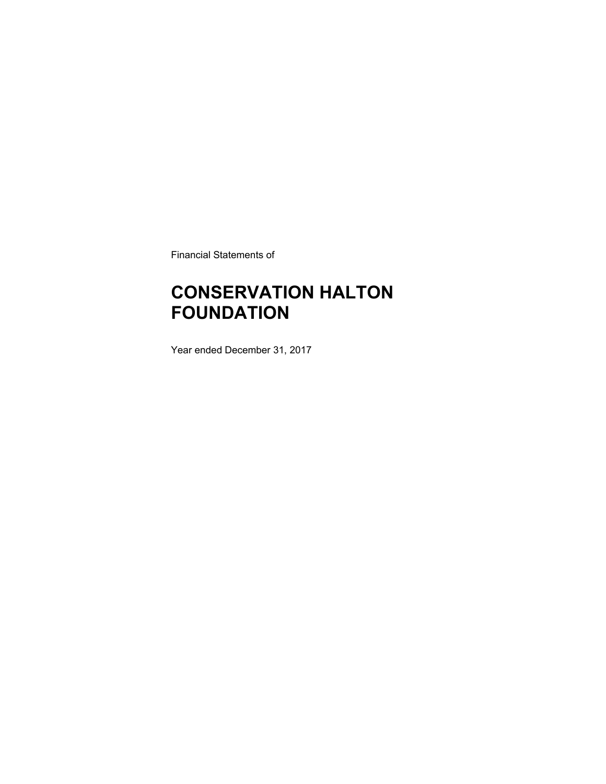Financial Statements of

## **CONSERVATION HALTON FOUNDATION**

Year ended December 31, 2017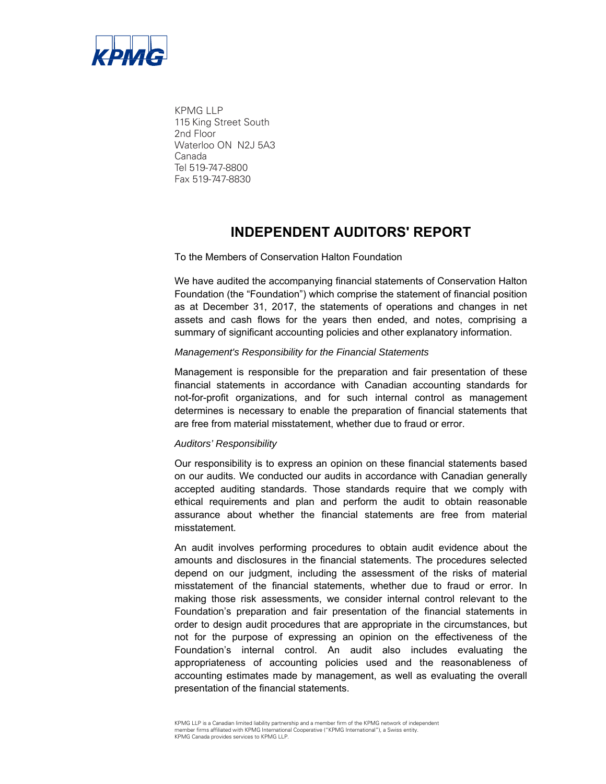

KPMG LLP 115 King Street South 2nd Floor Waterloo ON N2J 5A3 Canada Tel 519-747-8800 Fax 519-747-8830

### **INDEPENDENT AUDITORS' REPORT**

To the Members of Conservation Halton Foundation

We have audited the accompanying financial statements of Conservation Halton Foundation (the "Foundation") which comprise the statement of financial position as at December 31, 2017, the statements of operations and changes in net assets and cash flows for the years then ended, and notes, comprising a summary of significant accounting policies and other explanatory information.

#### *Management's Responsibility for the Financial Statements*

Management is responsible for the preparation and fair presentation of these financial statements in accordance with Canadian accounting standards for not-for-profit organizations, and for such internal control as management determines is necessary to enable the preparation of financial statements that are free from material misstatement, whether due to fraud or error.

#### *Auditors' Responsibility*

Our responsibility is to express an opinion on these financial statements based on our audits. We conducted our audits in accordance with Canadian generally accepted auditing standards. Those standards require that we comply with ethical requirements and plan and perform the audit to obtain reasonable assurance about whether the financial statements are free from material misstatement.

An audit involves performing procedures to obtain audit evidence about the amounts and disclosures in the financial statements. The procedures selected depend on our judgment, including the assessment of the risks of material misstatement of the financial statements, whether due to fraud or error. In making those risk assessments, we consider internal control relevant to the Foundation's preparation and fair presentation of the financial statements in order to design audit procedures that are appropriate in the circumstances, but not for the purpose of expressing an opinion on the effectiveness of the Foundation's internal control. An audit also includes evaluating the appropriateness of accounting policies used and the reasonableness of accounting estimates made by management, as well as evaluating the overall presentation of the financial statements.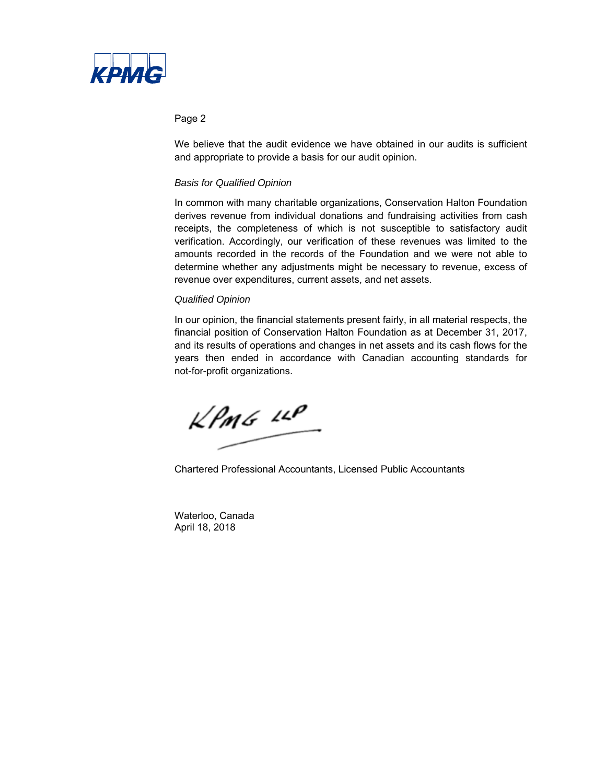

#### Page 2

We believe that the audit evidence we have obtained in our audits is sufficient and appropriate to provide a basis for our audit opinion.

#### *Basis for Qualified Opinion*

In common with many charitable organizations, Conservation Halton Foundation derives revenue from individual donations and fundraising activities from cash receipts, the completeness of which is not susceptible to satisfactory audit verification. Accordingly, our verification of these revenues was limited to the amounts recorded in the records of the Foundation and we were not able to determine whether any adjustments might be necessary to revenue, excess of revenue over expenditures, current assets, and net assets.

#### *Qualified Opinion*

In our opinion, the financial statements present fairly, in all material respects, the financial position of Conservation Halton Foundation as at December 31, 2017, and its results of operations and changes in net assets and its cash flows for the years then ended in accordance with Canadian accounting standards for not-for-profit organizations.

 $kPm6$   $10P$ 

Chartered Professional Accountants, Licensed Public Accountants

Waterloo, Canada April 18, 2018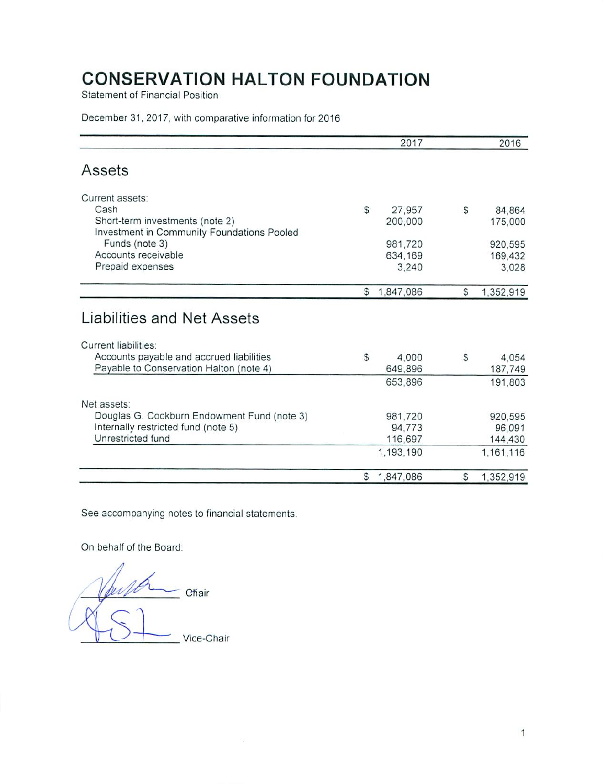**Statement of Financial Position** 

#### December 31, 2017, with comparative information for 2016

|                                                                               |   | 2017        |    | 2016      |
|-------------------------------------------------------------------------------|---|-------------|----|-----------|
| Assets                                                                        |   |             |    |           |
| Current assets:                                                               |   |             |    |           |
| Cash                                                                          | S | 27,957      | \$ | 84,864    |
| Short-term investments (note 2)<br>Investment in Community Foundations Pooled |   | 200,000     |    | 175,000   |
| Funds (note 3)                                                                |   | 981,720     |    | 920,595   |
| Accounts receivable                                                           |   | 634,169     |    | 169,432   |
| Prepaid expenses                                                              |   | 3,240       |    | 3,028     |
|                                                                               | S | 1,847,086   | S  | 1,352,919 |
| Liabilities and Net Assets                                                    |   |             |    |           |
| Current liabilities:                                                          |   |             |    |           |
| Accounts payable and accrued liabilities                                      | S | 4.000       | S  | 4.054     |
| Payable to Conservation Halton (note 4)                                       |   | 649,896     |    | 187,749   |
|                                                                               |   | 653,896     |    | 191,803   |
| Net assets:                                                                   |   |             |    |           |
| Douglas G. Cockburn Endowment Fund (note 3)                                   |   | 981,720     |    | 920,595   |
| Internally restricted fund (note 5)                                           |   | 94,773      |    | 96,091    |
| Unrestricted fund                                                             |   | 116,697     |    | 144,430   |
|                                                                               |   | 1,193,190   |    | 1,161,116 |
|                                                                               |   | \$1,847,086 | S  | 1,352,919 |

See accompanying notes to financial statements.

On behalf of the Board:

ÚE Chair Vice-Chair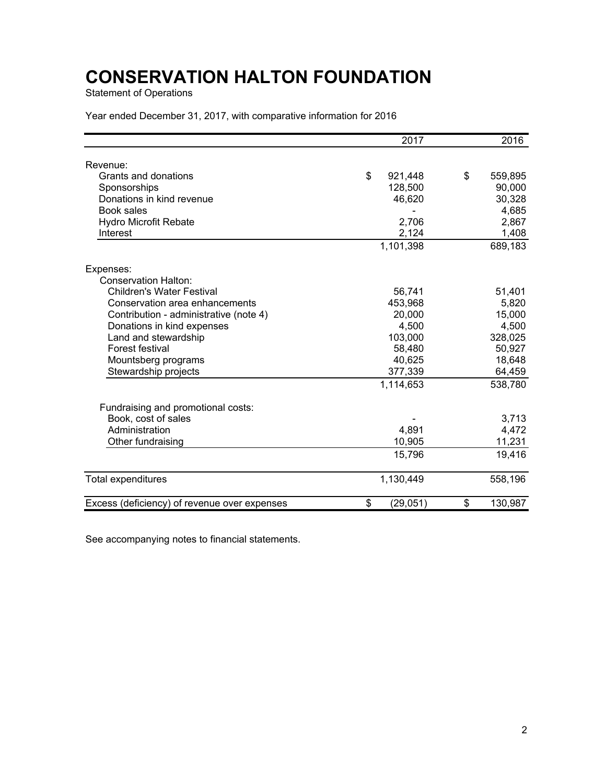Statement of Operations

Year ended December 31, 2017, with comparative information for 2016

|                                              | 2017            | 2016          |
|----------------------------------------------|-----------------|---------------|
|                                              |                 |               |
| Revenue:                                     |                 |               |
| Grants and donations                         | \$<br>921,448   | \$<br>559,895 |
| Sponsorships                                 | 128,500         | 90,000        |
| Donations in kind revenue                    | 46,620          | 30,328        |
| Book sales                                   |                 | 4,685         |
| <b>Hydro Microfit Rebate</b>                 | 2,706           | 2,867         |
| Interest                                     | 2,124           | 1,408         |
|                                              | 1,101,398       | 689,183       |
| Expenses:                                    |                 |               |
| <b>Conservation Halton:</b>                  |                 |               |
| <b>Children's Water Festival</b>             | 56,741          | 51,401        |
| Conservation area enhancements               | 453,968         | 5,820         |
| Contribution - administrative (note 4)       | 20,000          | 15,000        |
| Donations in kind expenses                   | 4,500           | 4,500         |
| Land and stewardship                         | 103,000         | 328,025       |
| Forest festival                              | 58,480          | 50,927        |
| Mountsberg programs                          | 40,625          | 18,648        |
| Stewardship projects                         | 377,339         | 64,459        |
|                                              | 1,114,653       | 538,780       |
| Fundraising and promotional costs:           |                 |               |
| Book, cost of sales                          |                 | 3,713         |
| Administration                               | 4,891           | 4,472         |
| Other fundraising                            | 10,905          | 11,231        |
|                                              | 15,796          | 19,416        |
| <b>Total expenditures</b>                    | 1,130,449       | 558,196       |
| Excess (deficiency) of revenue over expenses | \$<br>(29, 051) | \$<br>130,987 |

See accompanying notes to financial statements.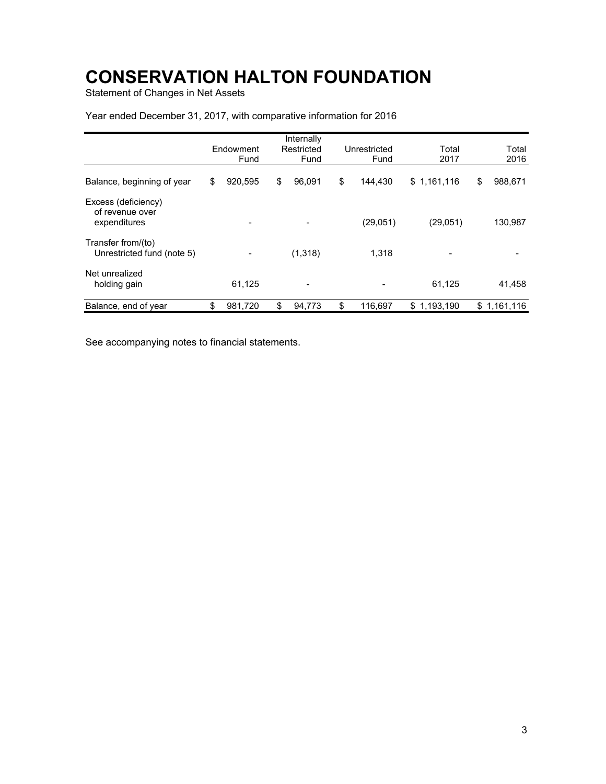Statement of Changes in Net Assets

|                                                        | Endowment<br>Fund | Internally<br>Restricted<br>Fund | Unrestricted<br>Fund | Total<br>2017   | Total<br>2016 |
|--------------------------------------------------------|-------------------|----------------------------------|----------------------|-----------------|---------------|
| Balance, beginning of year                             | \$<br>920,595     | \$<br>96.091                     | \$<br>144.430        | \$1,161,116     | \$<br>988,671 |
| Excess (deficiency)<br>of revenue over<br>expenditures |                   |                                  | (29,051)             | (29,051)        | 130,987       |
| Transfer from/(to)<br>Unrestricted fund (note 5)       |                   | (1,318)                          | 1,318                |                 |               |
| Net unrealized<br>holding gain                         | 61,125            | $\overline{\phantom{0}}$         |                      | 61,125          | 41,458        |
| Balance, end of year                                   | \$<br>981,720     | \$<br>94,773                     | \$<br>116,697        | 1,193,190<br>\$ | \$1,161,116   |

### Year ended December 31, 2017, with comparative information for 2016

See accompanying notes to financial statements.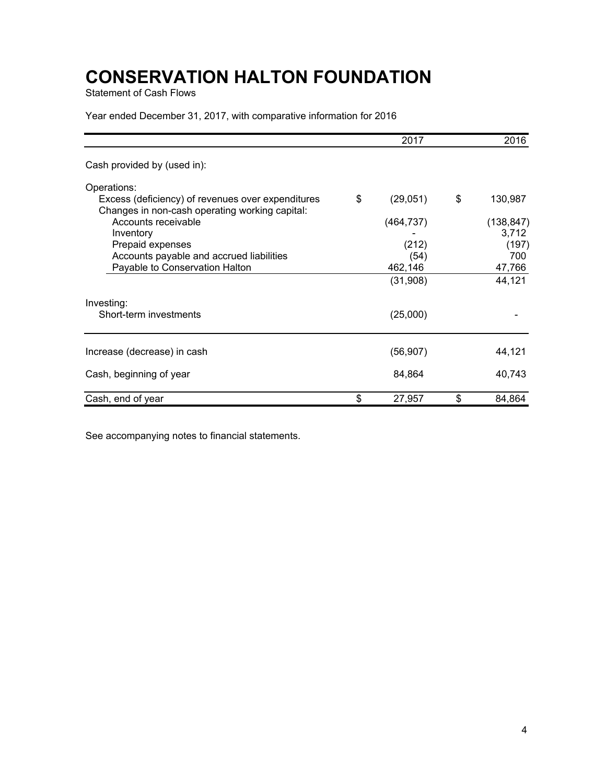Statement of Cash Flows

Year ended December 31, 2017, with comparative information for 2016

|                                                                                                     |    | 2016       |    |            |
|-----------------------------------------------------------------------------------------------------|----|------------|----|------------|
| Cash provided by (used in):                                                                         |    |            |    |            |
| Operations:                                                                                         |    |            |    |            |
| Excess (deficiency) of revenues over expenditures<br>Changes in non-cash operating working capital: | \$ | (29,051)   | \$ | 130,987    |
| Accounts receivable                                                                                 |    | (464, 737) |    | (138, 847) |
| Inventory                                                                                           |    |            |    | 3,712      |
| Prepaid expenses                                                                                    |    | (212)      |    | (197)      |
| Accounts payable and accrued liabilities                                                            |    | (54)       |    | 700        |
| Payable to Conservation Halton                                                                      |    | 462,146    |    | 47,766     |
|                                                                                                     |    | (31,908)   |    | 44,121     |
| Investing:                                                                                          |    |            |    |            |
| Short-term investments                                                                              |    | (25,000)   |    |            |
|                                                                                                     |    |            |    |            |
| Increase (decrease) in cash                                                                         |    | (56, 907)  |    | 44,121     |
| Cash, beginning of year                                                                             |    | 84,864     |    | 40,743     |
| Cash, end of year                                                                                   | \$ | 27,957     | \$ | 84,864     |

See accompanying notes to financial statements.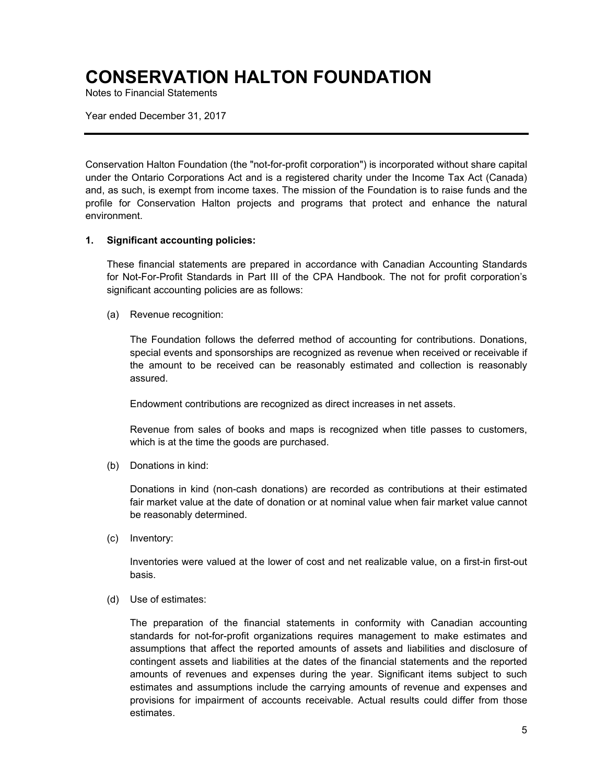Notes to Financial Statements

Year ended December 31, 2017

Conservation Halton Foundation (the "not-for-profit corporation") is incorporated without share capital under the Ontario Corporations Act and is a registered charity under the Income Tax Act (Canada) and, as such, is exempt from income taxes. The mission of the Foundation is to raise funds and the profile for Conservation Halton projects and programs that protect and enhance the natural environment.

#### **1. Significant accounting policies:**

These financial statements are prepared in accordance with Canadian Accounting Standards for Not-For-Profit Standards in Part III of the CPA Handbook. The not for profit corporation's significant accounting policies are as follows:

(a) Revenue recognition:

The Foundation follows the deferred method of accounting for contributions. Donations, special events and sponsorships are recognized as revenue when received or receivable if the amount to be received can be reasonably estimated and collection is reasonably assured.

Endowment contributions are recognized as direct increases in net assets.

Revenue from sales of books and maps is recognized when title passes to customers, which is at the time the goods are purchased.

(b) Donations in kind:

Donations in kind (non-cash donations) are recorded as contributions at their estimated fair market value at the date of donation or at nominal value when fair market value cannot be reasonably determined.

(c) Inventory:

Inventories were valued at the lower of cost and net realizable value, on a first-in first-out basis.

(d) Use of estimates:

The preparation of the financial statements in conformity with Canadian accounting standards for not-for-profit organizations requires management to make estimates and assumptions that affect the reported amounts of assets and liabilities and disclosure of contingent assets and liabilities at the dates of the financial statements and the reported amounts of revenues and expenses during the year. Significant items subject to such estimates and assumptions include the carrying amounts of revenue and expenses and provisions for impairment of accounts receivable. Actual results could differ from those estimates.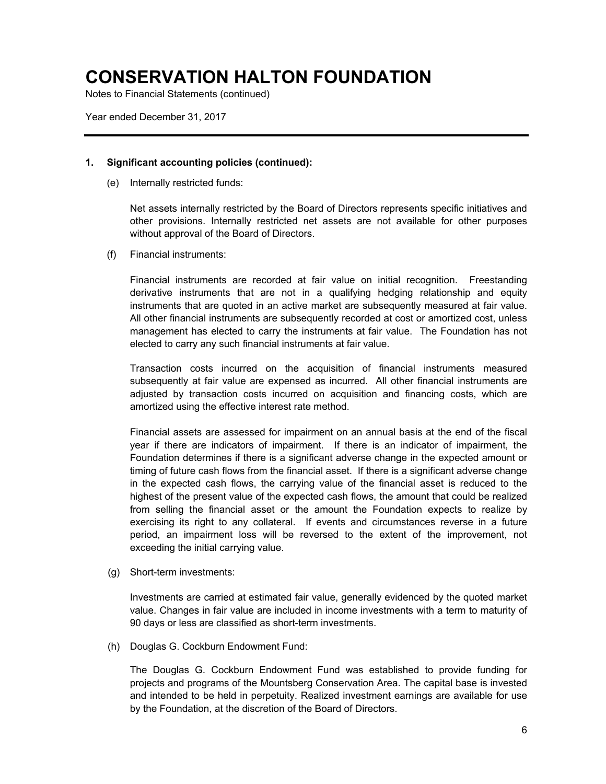Notes to Financial Statements (continued)

Year ended December 31, 2017

#### **1. Significant accounting policies (continued):**

(e) Internally restricted funds:

Net assets internally restricted by the Board of Directors represents specific initiatives and other provisions. Internally restricted net assets are not available for other purposes without approval of the Board of Directors.

(f) Financial instruments:

Financial instruments are recorded at fair value on initial recognition. Freestanding derivative instruments that are not in a qualifying hedging relationship and equity instruments that are quoted in an active market are subsequently measured at fair value. All other financial instruments are subsequently recorded at cost or amortized cost, unless management has elected to carry the instruments at fair value. The Foundation has not elected to carry any such financial instruments at fair value.

Transaction costs incurred on the acquisition of financial instruments measured subsequently at fair value are expensed as incurred. All other financial instruments are adjusted by transaction costs incurred on acquisition and financing costs, which are amortized using the effective interest rate method.

Financial assets are assessed for impairment on an annual basis at the end of the fiscal year if there are indicators of impairment. If there is an indicator of impairment, the Foundation determines if there is a significant adverse change in the expected amount or timing of future cash flows from the financial asset. If there is a significant adverse change in the expected cash flows, the carrying value of the financial asset is reduced to the highest of the present value of the expected cash flows, the amount that could be realized from selling the financial asset or the amount the Foundation expects to realize by exercising its right to any collateral. If events and circumstances reverse in a future period, an impairment loss will be reversed to the extent of the improvement, not exceeding the initial carrying value.

(g) Short-term investments:

Investments are carried at estimated fair value, generally evidenced by the quoted market value. Changes in fair value are included in income investments with a term to maturity of 90 days or less are classified as short-term investments.

(h) Douglas G. Cockburn Endowment Fund:

The Douglas G. Cockburn Endowment Fund was established to provide funding for projects and programs of the Mountsberg Conservation Area. The capital base is invested and intended to be held in perpetuity. Realized investment earnings are available for use by the Foundation, at the discretion of the Board of Directors.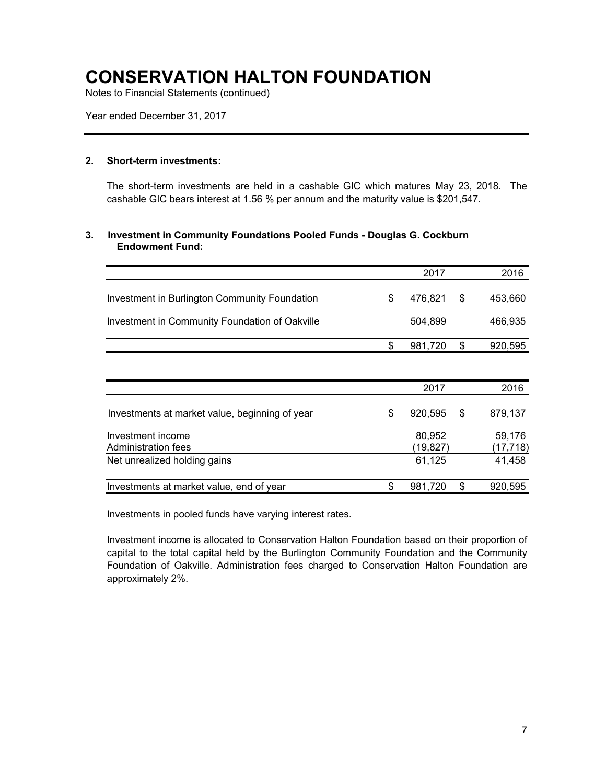Notes to Financial Statements (continued)

Year ended December 31, 2017

#### **2. Short-term investments:**

The short-term investments are held in a cashable GIC which matures May 23, 2018. The cashable GIC bears interest at 1.56 % per annum and the maturity value is \$201,547.

#### **3. Investment in Community Foundations Pooled Funds - Douglas G. Cockburn Endowment Fund:**

|                                                | 2017               | 2016               |
|------------------------------------------------|--------------------|--------------------|
| Investment in Burlington Community Foundation  | \$<br>476,821      | \$<br>453,660      |
| Investment in Community Foundation of Oakville | 504,899            | 466,935            |
|                                                | \$<br>981,720      | \$<br>920,595      |
|                                                |                    |                    |
|                                                | 2017               | 2016               |
| Investments at market value, beginning of year | \$<br>920,595      | \$<br>879,137      |
| Investment income<br>Administration fees       | 80,952<br>(19,827) | 59,176<br>(17,718) |
| Net unrealized holding gains                   | 61,125             | 41,458             |
| Investments at market value, end of year       | \$<br>981,720      | \$<br>920,595      |

Investments in pooled funds have varying interest rates.

Investment income is allocated to Conservation Halton Foundation based on their proportion of capital to the total capital held by the Burlington Community Foundation and the Community Foundation of Oakville. Administration fees charged to Conservation Halton Foundation are approximately 2%.